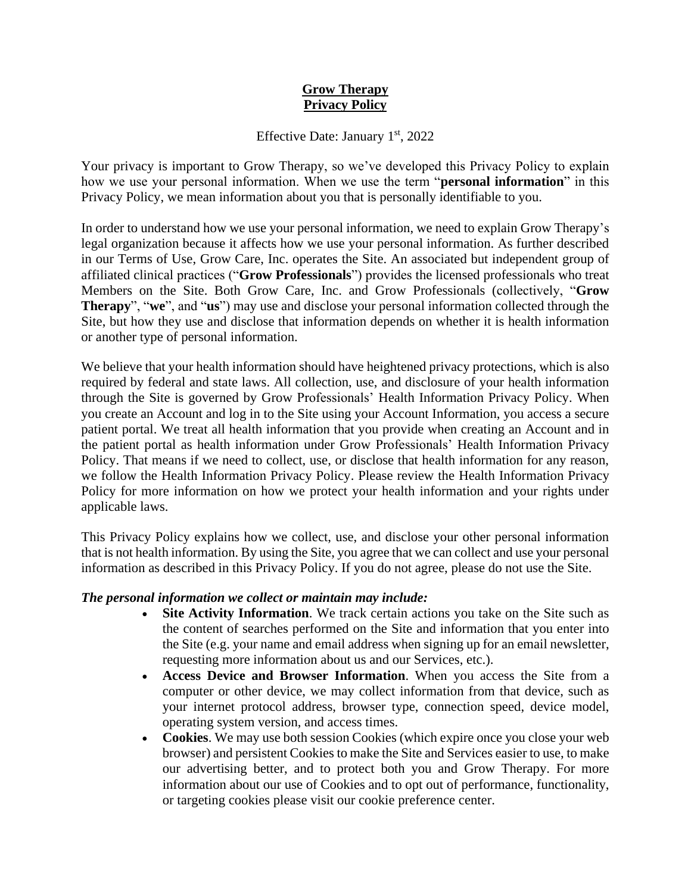# **Grow Therapy Privacy Policy**

#### Effective Date: January  $1<sup>st</sup>$ , 2022

Your privacy is important to Grow Therapy, so we've developed this Privacy Policy to explain how we use your personal information. When we use the term "**personal information**" in this Privacy Policy, we mean information about you that is personally identifiable to you.

In order to understand how we use your personal information, we need to explain Grow Therapy's legal organization because it affects how we use your personal information. As further described in our Terms of Use, Grow Care, Inc. operates the Site. An associated but independent group of affiliated clinical practices ("**Grow Professionals**") provides the licensed professionals who treat Members on the Site. Both Grow Care, Inc. and Grow Professionals (collectively, "**Grow Therapy**", "**we**", and "**us**") may use and disclose your personal information collected through the Site, but how they use and disclose that information depends on whether it is health information or another type of personal information.

We believe that your health information should have heightened privacy protections, which is also required by federal and state laws. All collection, use, and disclosure of your health information through the Site is governed by Grow Professionals' Health Information Privacy Policy. When you create an Account and log in to the Site using your Account Information, you access a secure patient portal. We treat all health information that you provide when creating an Account and in the patient portal as health information under Grow Professionals' Health Information Privacy Policy. That means if we need to collect, use, or disclose that health information for any reason, we follow the Health Information Privacy Policy. Please review the Health Information Privacy Policy for more information on how we protect your health information and your rights under applicable laws.

This Privacy Policy explains how we collect, use, and disclose your other personal information that is not health information. By using the Site, you agree that we can collect and use your personal information as described in this Privacy Policy. If you do not agree, please do not use the Site.

## *The personal information we collect or maintain may include:*

- **Site Activity Information**. We track certain actions you take on the Site such as the content of searches performed on the Site and information that you enter into the Site (e.g. your name and email address when signing up for an email newsletter, requesting more information about us and our Services, etc.).
- **Access Device and Browser Information**. When you access the Site from a computer or other device, we may collect information from that device, such as your internet protocol address, browser type, connection speed, device model, operating system version, and access times.
- **Cookies**. We may use both session Cookies (which expire once you close your web browser) and persistent Cookies to make the Site and Services easier to use, to make our advertising better, and to protect both you and Grow Therapy. For more information about our use of Cookies and to opt out of performance, functionality, or targeting cookies please visit our cookie preference center.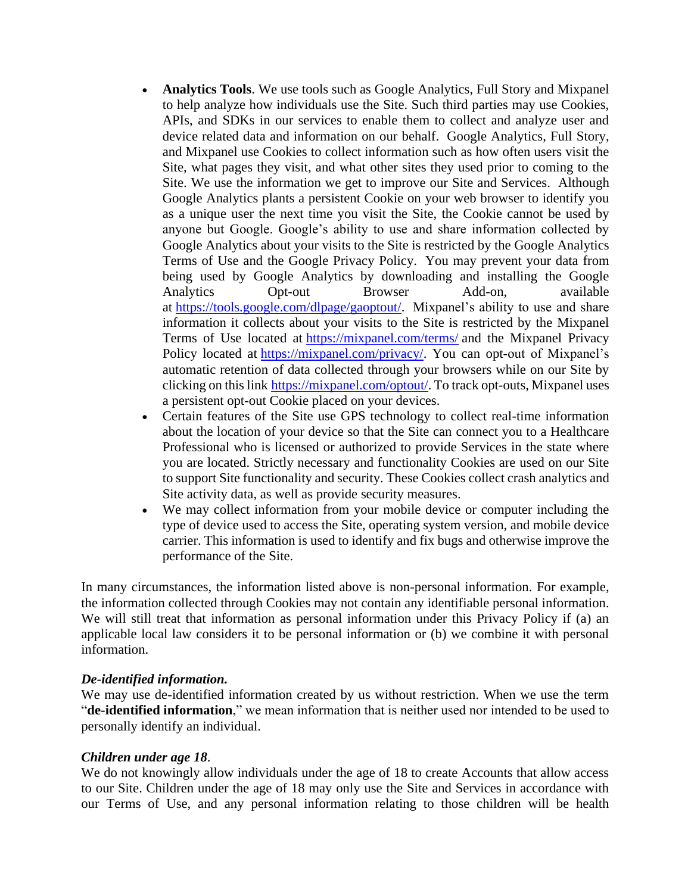- **Analytics Tools**. We use tools such as Google Analytics, Full Story and Mixpanel to help analyze how individuals use the Site. Such third parties may use Cookies, APIs, and SDKs in our services to enable them to collect and analyze user and device related data and information on our behalf. Google Analytics, Full Story, and Mixpanel use Cookies to collect information such as how often users visit the Site, what pages they visit, and what other sites they used prior to coming to the Site. We use the information we get to improve our Site and Services. Although Google Analytics plants a persistent Cookie on your web browser to identify you as a unique user the next time you visit the Site, the Cookie cannot be used by anyone but Google. Google's ability to use and share information collected by Google Analytics about your visits to the Site is restricted by the Google Analytics Terms of Use and the Google Privacy Policy. You may prevent your data from being used by Google Analytics by downloading and installing the Google Analytics Opt-out Browser Add-on, available at [https://tools.google.com/dlpage/gaoptout/.](https://tools.google.com/dlpage/gaoptout) Mixpanel's ability to use and share information it collects about your visits to the Site is restricted by the Mixpanel Terms of Use located at [https://mixpanel.com/terms/](https://mixpanel.com/legal/terms-of-use/) and the Mixpanel Privacy Policy located at [https://mixpanel.com/privacy/.](https://mixpanel.com/legal/privacy-policy/) You can opt-out of Mixpanel's automatic retention of data collected through your browsers while on our Site by clicking on this link [https://mixpanel.com/optout/.](https://help.mixpanel.com/hc/en-us/articles/360000679006-Managing-Personal-Information#optout-users) To track opt-outs, Mixpanel uses a persistent opt-out Cookie placed on your devices.
- Certain features of the Site use GPS technology to collect real-time information about the location of your device so that the Site can connect you to a Healthcare Professional who is licensed or authorized to provide Services in the state where you are located. Strictly necessary and functionality Cookies are used on our Site to support Site functionality and security. These Cookies collect crash analytics and Site activity data, as well as provide security measures.
- We may collect information from your mobile device or computer including the type of device used to access the Site, operating system version, and mobile device carrier. This information is used to identify and fix bugs and otherwise improve the performance of the Site.

In many circumstances, the information listed above is non-personal information. For example, the information collected through Cookies may not contain any identifiable personal information. We will still treat that information as personal information under this Privacy Policy if (a) an applicable local law considers it to be personal information or (b) we combine it with personal information.

#### *De-identified information.*

We may use de-identified information created by us without restriction. When we use the term "**de-identified information**," we mean information that is neither used nor intended to be used to personally identify an individual.

## *Children under age 18*.

We do not knowingly allow individuals under the age of 18 to create Accounts that allow access to our Site. Children under the age of 18 may only use the Site and Services in accordance with our Terms of Use, and any personal information relating to those children will be health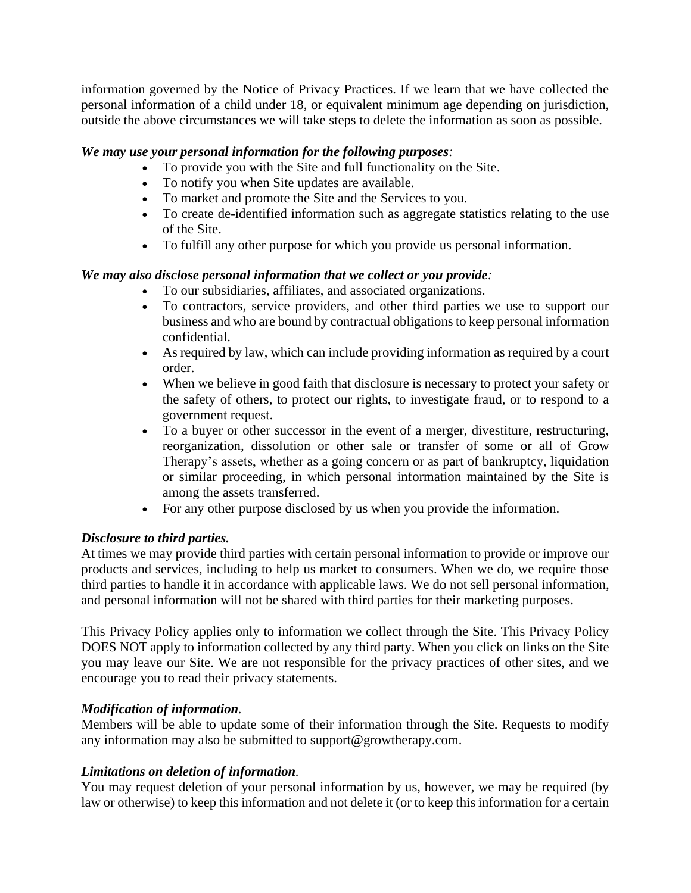information governed by the Notice of Privacy Practices. If we learn that we have collected the personal information of a child under 18, or equivalent minimum age depending on jurisdiction, outside the above circumstances we will take steps to delete the information as soon as possible.

# *We may use your personal information for the following purposes:*

- To provide you with the Site and full functionality on the Site.
- To notify you when Site updates are available.
- To market and promote the Site and the Services to you.
- To create de-identified information such as aggregate statistics relating to the use of the Site.
- To fulfill any other purpose for which you provide us personal information.

# *We may also disclose personal information that we collect or you provide:*

- To our subsidiaries, affiliates, and associated organizations.
- To contractors, service providers, and other third parties we use to support our business and who are bound by contractual obligations to keep personal information confidential.
- As required by law, which can include providing information as required by a court order.
- When we believe in good faith that disclosure is necessary to protect your safety or the safety of others, to protect our rights, to investigate fraud, or to respond to a government request.
- To a buyer or other successor in the event of a merger, divestiture, restructuring, reorganization, dissolution or other sale or transfer of some or all of Grow Therapy's assets, whether as a going concern or as part of bankruptcy, liquidation or similar proceeding, in which personal information maintained by the Site is among the assets transferred.
- For any other purpose disclosed by us when you provide the information.

## *Disclosure to third parties.*

At times we may provide third parties with certain personal information to provide or improve our products and services, including to help us market to consumers. When we do, we require those third parties to handle it in accordance with applicable laws. We do not sell personal information, and personal information will not be shared with third parties for their marketing purposes.

This Privacy Policy applies only to information we collect through the Site. This Privacy Policy DOES NOT apply to information collected by any third party. When you click on links on the Site you may leave our Site. We are not responsible for the privacy practices of other sites, and we encourage you to read their privacy statements.

## *Modification of information.*

Members will be able to update some of their information through the Site. Requests to modify any information may also be submitted to support@growtherapy.com.

## *Limitations on deletion of information.*

You may request deletion of your personal information by us, however, we may be required (by law or otherwise) to keep this information and not delete it (or to keep this information for a certain